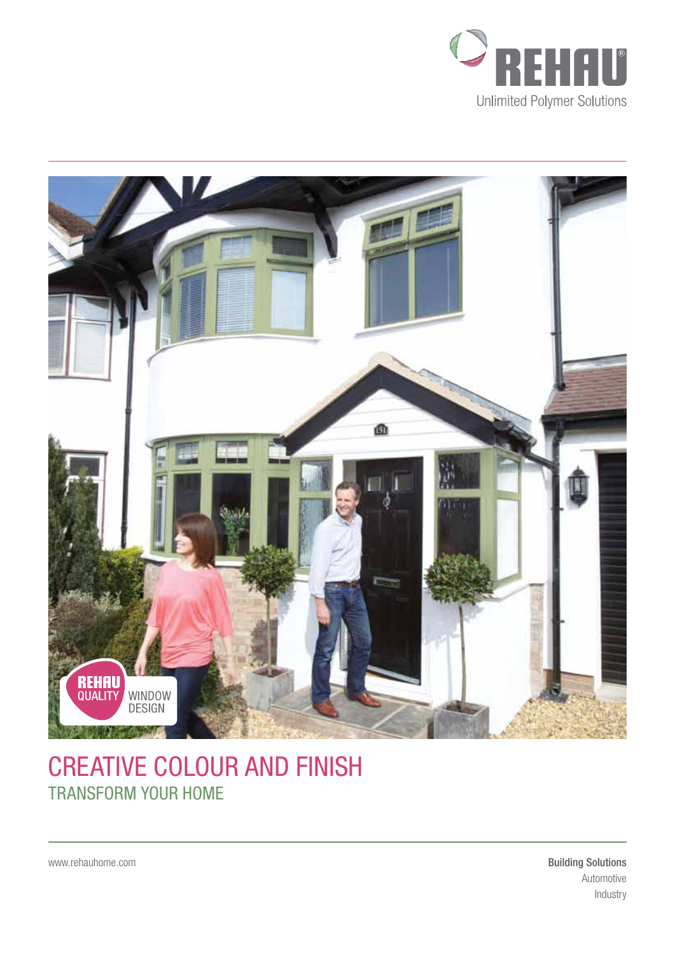



# CREATIVE COLOUR AND FINISH TRANSFORM YOUR HOME

www.rehauhome.com

Building Solutions Automotive Industry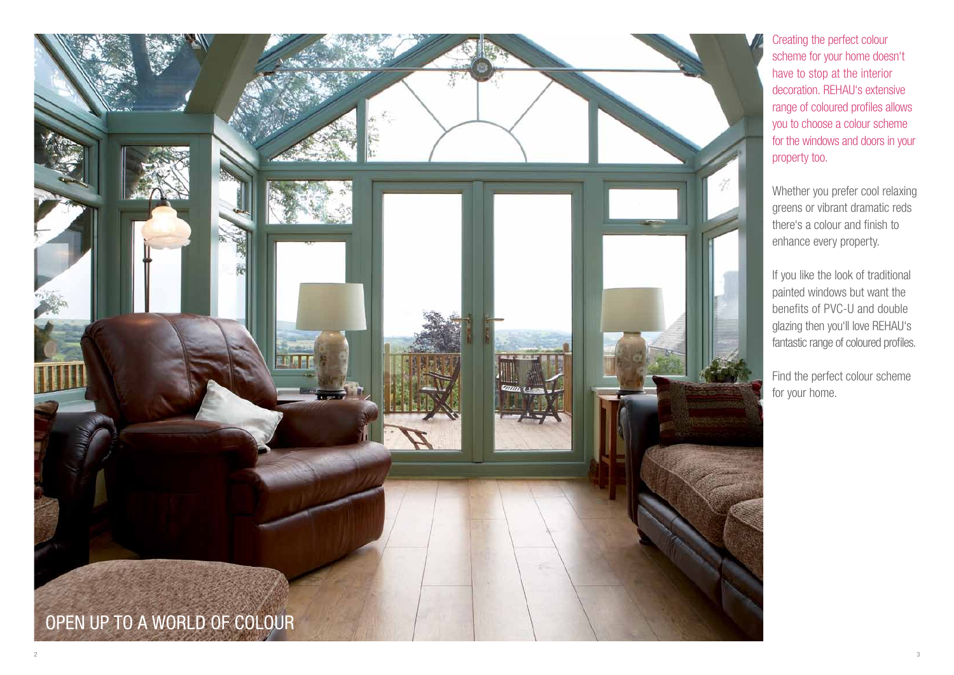Creating the perfect colour scheme for your home doesn't have to stop at the interior decoration. REHAU's extensive range of coloured profiles allows you to choose a colour scheme for the windows and doors in your property too.

Whether you prefer cool relaxing greens or vibrant dramatic reds there's a colour and finish to enhance every property.

If you like the look of traditional painted windows but want the benefits of PVC-U and double glazing then you'll love REHAU's fantastic range of coloured profiles.

Find the perfect colour scheme for your home.

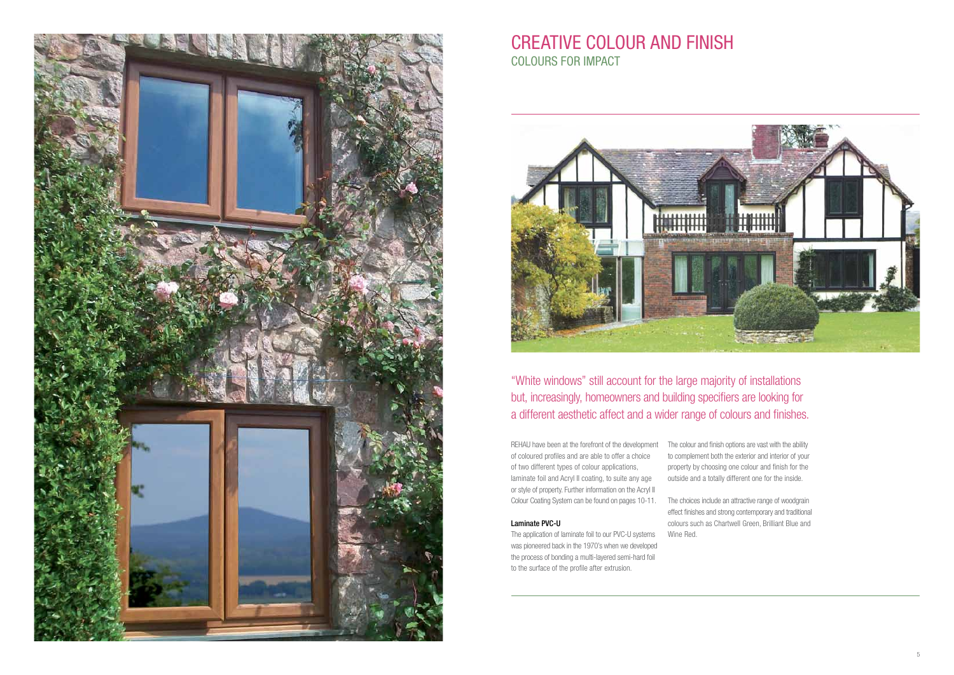

# CREATIVE COLOUR AND FINISH COLOURS FOR IMPACT



"White windows" still account for the large majority of installations but, increasingly, homeowners and building specifiers are looking for a different aesthetic affect and a wider range of colours and finishes.

REHAU have been at the forefront of the development The colour and finish options are vast with the ability of coloured profiles and are able to offer a choice of two different types of colour applications, laminate foil and Acryl II coating, to suite any age or style of property. Further information on the Acryl II Colour Coating System can be found on pages 10-11. The choices include an attractive range of woodgrain

#### Laminate PVC-U

The application of laminate foil to our PVC-U systems was pioneered back in the 1970's when we developed the process of bonding a multi-layered semi-hard foil to the surface of the profile after extrusion.

to complement both the exterior and interior of your property by choosing one colour and finish for the outside and a totally different one for the inside.

effect finishes and strong contemporary and traditional colours such as Chartwell Green, Brilliant Blue and Wine Red.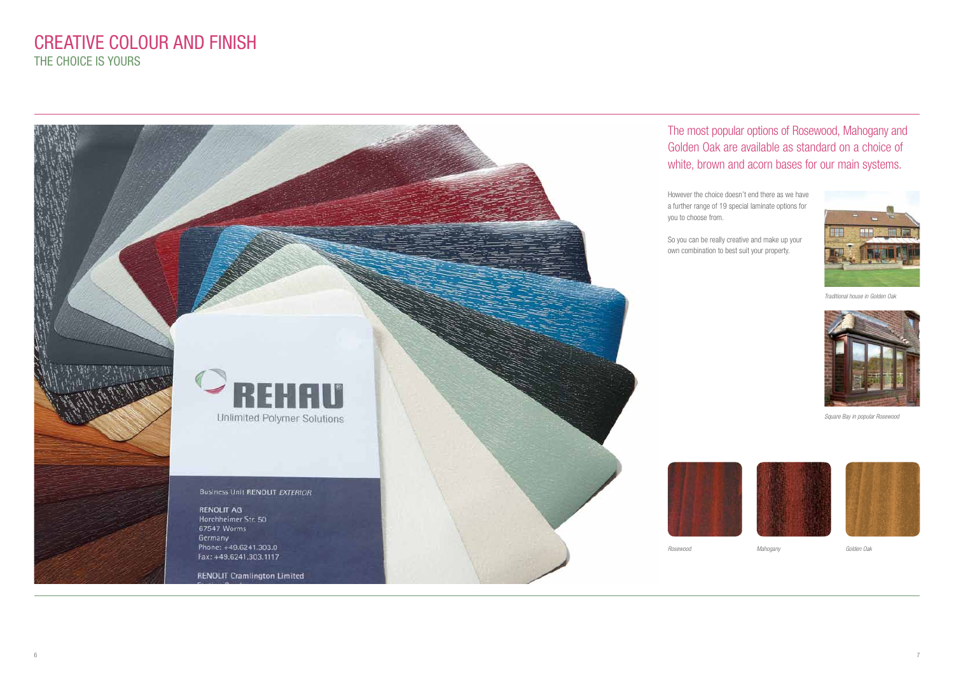However the choice doesn't end there as we have a further range of 19 special laminate options for

So you can be really creative and make up your own combination to best suit your property.



#### The most popular options of Rosewood, Mahogany and Golden Oak are available as standard on a choice of white, brown and acorn bases for our main systems.

### CREATIVE COLOUR AND FINISH THE CHOICE IS YOURS



Traditional house in Golden Oak



Square Bay in popular Rosewood







Mahogany Golden Oak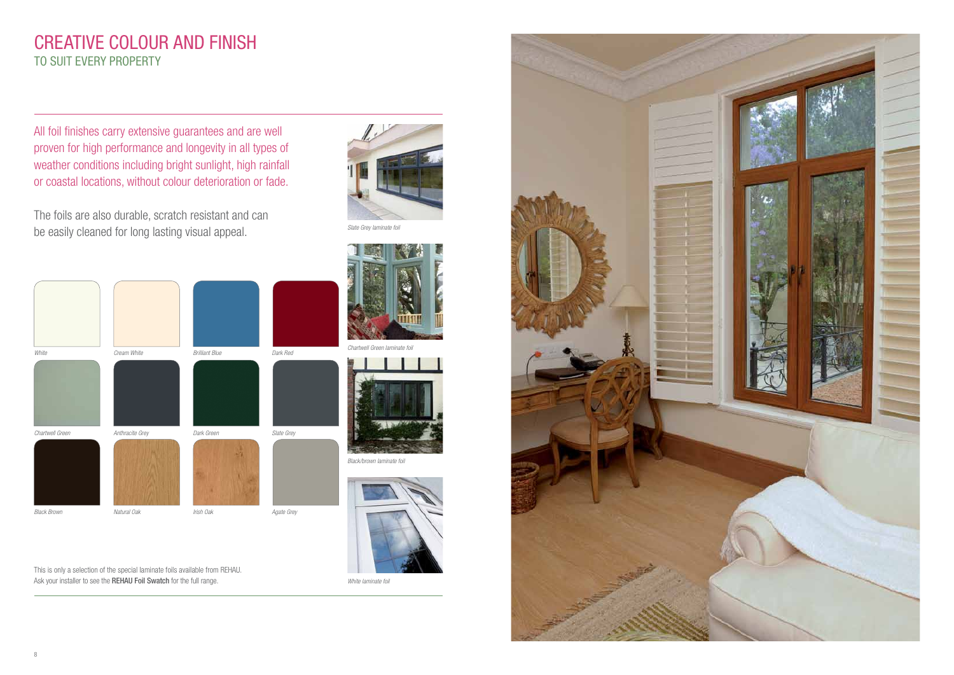Slate Grey laminate foil

Black/brown laminate foil







White laminate foil



This is only a selection of the special laminate foils available from REHAU. Ask your installer to see the REHAU Foil Swatch for the full range.

All foil finishes carry extensive guarantees and are well proven for high performance and longevity in all types of weather conditions including bright sunlight, high rainfall or coastal locations, without colour deterioration or fade.

The foils are also durable, scratch resistant and can be easily cleaned for long lasting visual appeal.

white **Cream White** Cream White Brilliant Blue Dark Red

Chartwell Green **Anthracite Grey Chartwell Green** Dark Green Slate Grey

Black Brown **International Care Agate Grey** Irish Oak Irish Oak Agate Grey



## CREATIVE COLOUR AND FINISH TO SUIT EVERY PROPERTY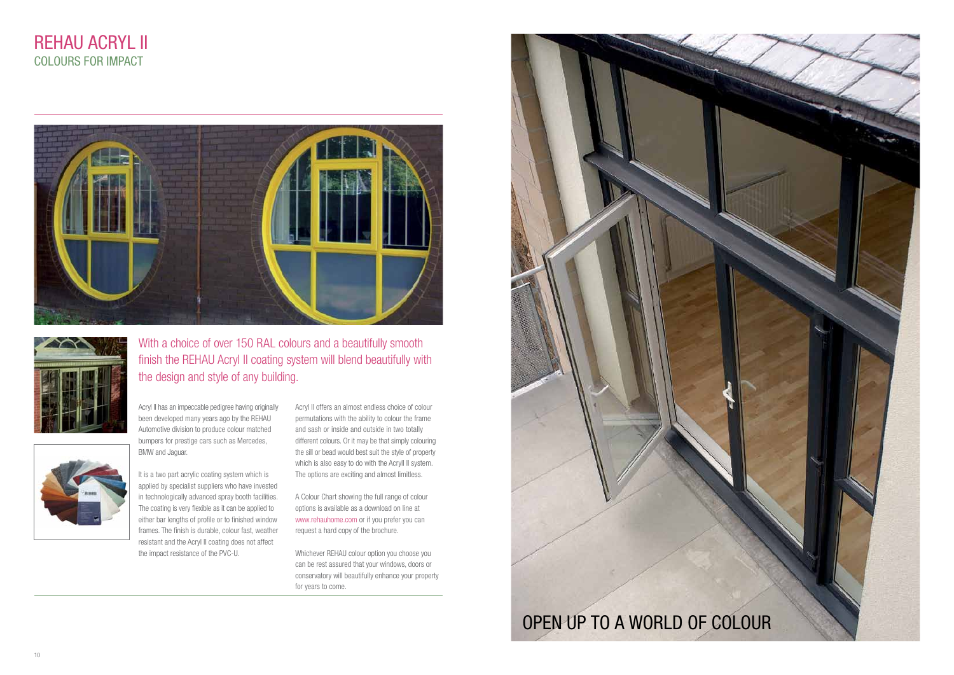Acryl II has an impeccable pedigree having originally been developed many years ago by the REHAU Automotive division to produce colour matched bumpers for prestige cars such as Mercedes, BMW and Jaguar.

It is a two part acrylic coating system which is applied by specialist suppliers who have invested in technologically advanced spray booth facilities. The coating is very flexible as it can be applied to either bar lengths of profile or to finished window frames. The finish is durable, colour fast, weather resistant and the Acryl II coating does not affect the impact resistance of the PVC-U.

Acryl II offers an almost endless choice of colour permutations with the ability to colour the frame and sash or inside and outside in two totally different colours. Or it may be that simply colouring the sill or bead would best suit the style of property which is also easy to do with the Acryll II system. The options are exciting and almost limitless.

A Colour Chart showing the full range of colour options is available as a download on line at www.rehauhome.com or if you prefer you can request a hard copy of the brochure.

Whichever REHAU colour option you choose you can be rest assured that your windows, doors or conservatory will beautifully enhance your property for years to come.

## REHAU ACRYl II COLOURS FOR IMPACT





#### With a choice of over 150 RAL colours and a beautifully smooth finish the REHAU Acryl II coating system will blend beautifully with the design and style of any building.